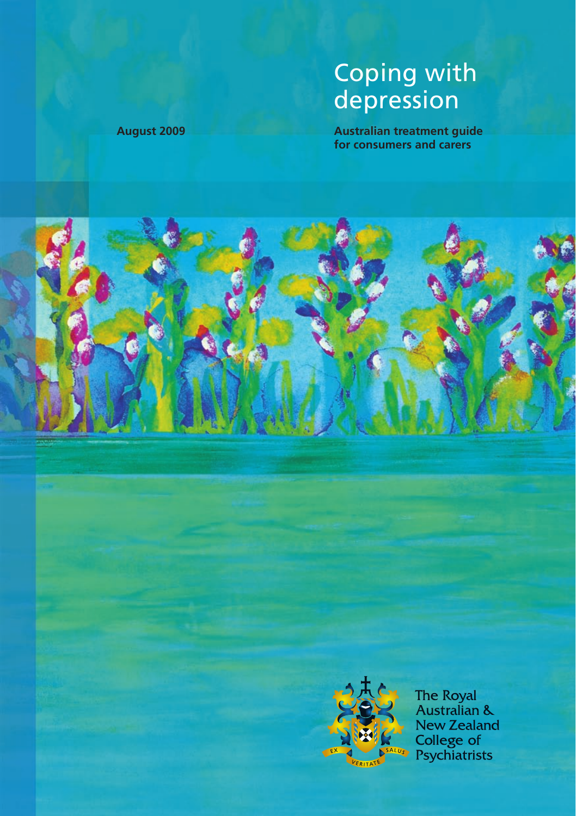# Coping with depression

**August 2009 Australian treatment guide for consumers and carers**





The Royal<br>Australian & **New Zealand** College of<br>Psychiatrists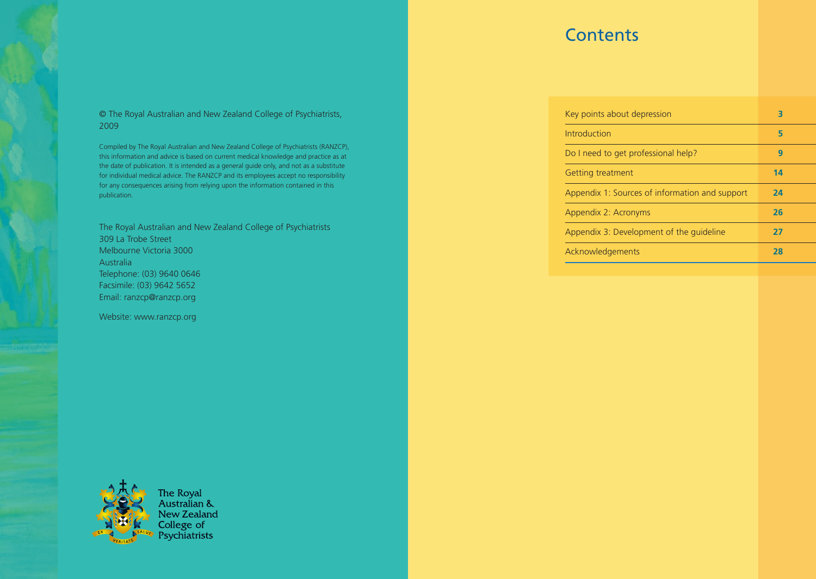## **Contents**

| © The Royal Australian and New Zealand College of Psychiatrists, |  |
|------------------------------------------------------------------|--|
| 2009                                                             |  |

Compiled by The Royal Australian and New Zealand College of Psychiatrists (RANZCP), this information and advice is based on current medical knowledge and practice as at the date of publication. It is intended as a general guide only, and not as a substitute for individual medical advice. The RANZCP and its employees accept no responsibility for any consequences arising from relying upon the information contained in this publication.

The Royal Australian and New Zealand College of Psychiatrists 309 La Trobe Street Melbourne Victoria 3000 **Australia** Telephone: (03) 9640 0646 Facsimile: (03) 9642 5652 Email: ranzcp@ranzcp.org

Website: www.ranzcp.org





**The Royal** Australian & New Zealand College of Psychiatrists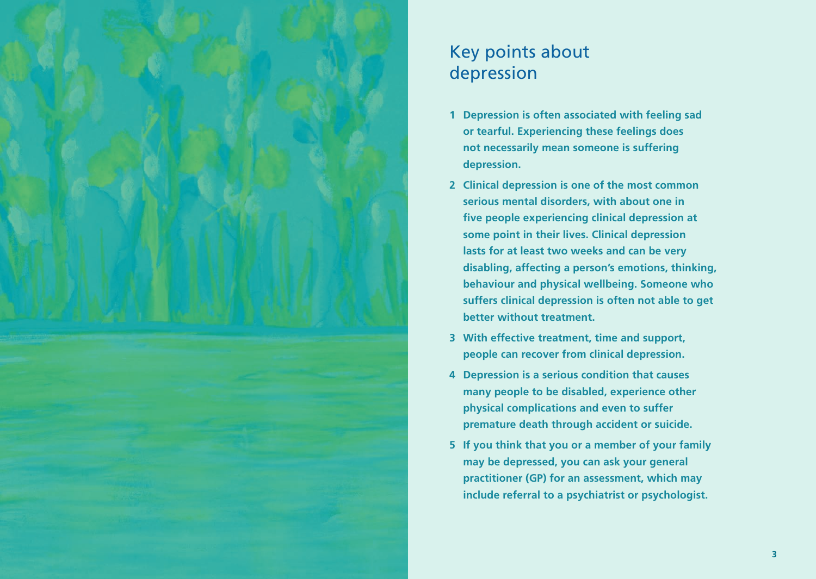

# Key points about depression

- **1 Depression is often associated with feeling sad or tearful. Experiencing these feelings does not necessarily mean someone is suffering depression.**
- **2 Clinical depression is one of the most common serious mental disorders, with about one in five people experiencing clinical depression at some point in their lives. Clinical depression lasts for at least two weeks and can be very disabling, affecting a person's emotions, thinking, behaviour and physical wellbeing. Someone who suffers clinical depression is often not able to get better without treatment.**
- **3 With effective treatment, time and support, people can recover from clinical depression.**
- **4 Depression is a serious condition that causes many people to be disabled, experience other physical complications and even to suffer premature death through accident or suicide.**
- **5 If you think that you or a member of your family may be depressed, you can ask your general practitioner (GP) for an assessment, which may include referral to a psychiatrist or psychologist.**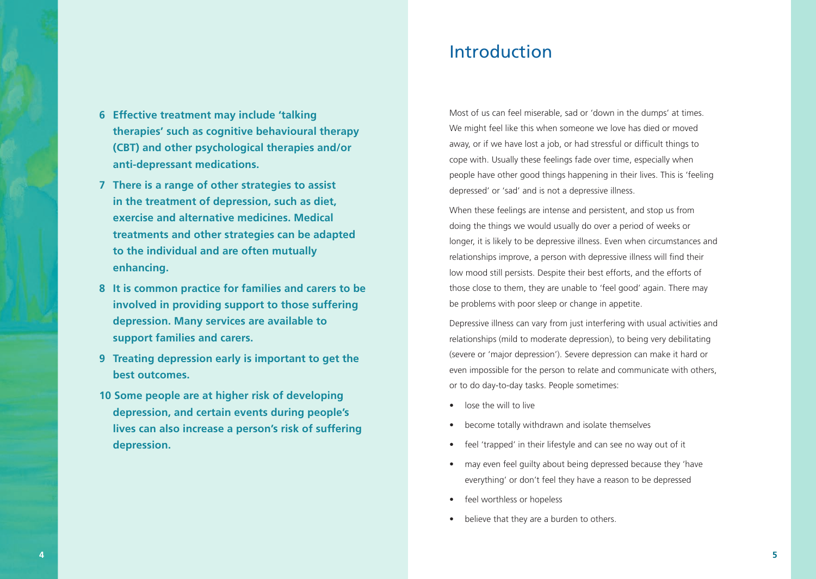- **6 Effective treatment may include 'talking therapies' such as cognitive behavioural therapy (CBT) and other psychological therapies and/or anti-depressant medications.**
- **7 There is a range of other strategies to assist in the treatment of depression, such as diet, exercise and alternative medicines. Medical treatments and other strategies can be adapted to the individual and are often mutually enhancing.**
- **8 It is common practice for families and carers to be involved in providing support to those suffering depression. Many services are available to support families and carers.**
- **9 Treating depression early is important to get the best outcomes.**
- **10 Some people are at higher risk of developing depression, and certain events during people's lives can also increase a person's risk of suffering depression.**

## Introduction

Most of us can feel miserable, sad or 'down in the dumps' at times. We might feel like this when someone we love has died or moved away, or if we have lost a job, or had stressful or difficult things to cope with. Usually these feelings fade over time, especially when people have other good things happening in their lives. This is 'feeling depressed' or 'sad' and is not a depressive illness.

When these feelings are intense and persistent, and stop us from doing the things we would usually do over a period of weeks or longer, it is likely to be depressive illness. Even when circumstances and relationships improve, a person with depressive illness will find their low mood still persists. Despite their best efforts, and the efforts of those close to them, they are unable to 'feel good' again. There may be problems with poor sleep or change in appetite.

Depressive illness can vary from just interfering with usual activities and relationships (mild to moderate depression), to being very debilitating (severe or 'major depression'). Severe depression can make it hard or even impossible for the person to relate and communicate with others, or to do day-to-day tasks. People sometimes:

- lose the will to live
- become totally withdrawn and isolate themselves
- feel 'trapped' in their lifestyle and can see no way out of it
- may even feel guilty about being depressed because they 'have everything' or don't feel they have a reason to be depressed
- feel worthless or hopeless
- believe that they are a burden to others.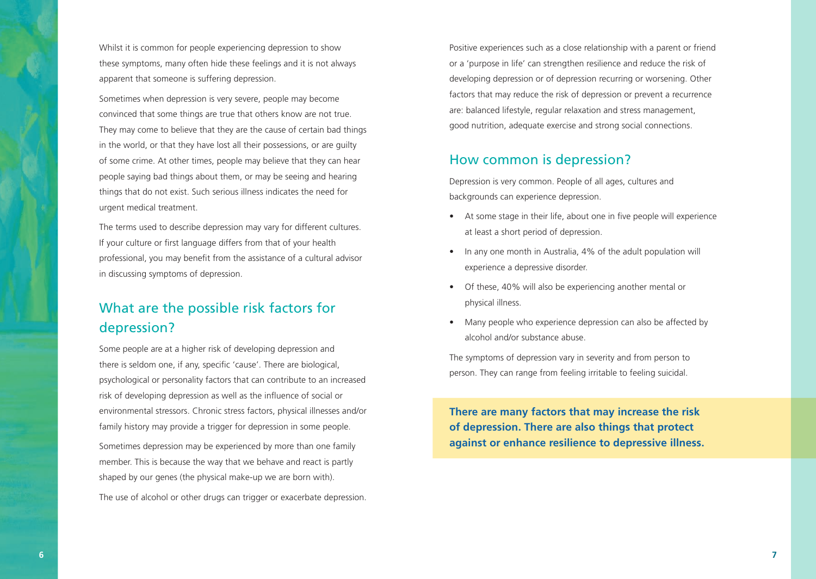Whilst it is common for people experiencing depression to show these symptoms, many often hide these feelings and it is not always apparent that someone is suffering depression.

Sometimes when depression is very severe, people may become convinced that some things are true that others know are not true. They may come to believe that they are the cause of certain bad things in the world, or that they have lost all their possessions, or are guilty of some crime. At other times, people may believe that they can hear people saying bad things about them, or may be seeing and hearing things that do not exist. Such serious illness indicates the need for urgent medical treatment.

The terms used to describe depression may vary for different cultures. If your culture or first language differs from that of your health professional, you may benefit from the assistance of a cultural advisor in discussing symptoms of depression.

## What are the possible risk factors for depression?

Some people are at a higher risk of developing depression and there is seldom one, if any, specific 'cause'. There are biological, psychological or personality factors that can contribute to an increased risk of developing depression as well as the influence of social or environmental stressors. Chronic stress factors, physical illnesses and/or family history may provide a trigger for depression in some people.

Sometimes depression may be experienced by more than one family member. This is because the way that we behave and react is partly shaped by our genes (the physical make-up we are born with).

The use of alcohol or other drugs can trigger or exacerbate depression.

Positive experiences such as a close relationship with a parent or friend or a 'purpose in life' can strengthen resilience and reduce the risk of developing depression or of depression recurring or worsening. Other factors that may reduce the risk of depression or prevent a recurrence are: balanced lifestyle, regular relaxation and stress management, good nutrition, adequate exercise and strong social connections.

#### How common is depression?

Depression is very common. People of all ages, cultures and backgrounds can experience depression.

- At some stage in their life, about one in five people will experience at least a short period of depression.
- In any one month in Australia, 4% of the adult population will experience a depressive disorder.
- Of these, 40% will also be experiencing another mental or physical illness.
- Many people who experience depression can also be affected by alcohol and/or substance abuse.

The symptoms of depression vary in severity and from person to person. They can range from feeling irritable to feeling suicidal.

**There are many factors that may increase the risk of depression. There are also things that protect against or enhance resilience to depressive illness.**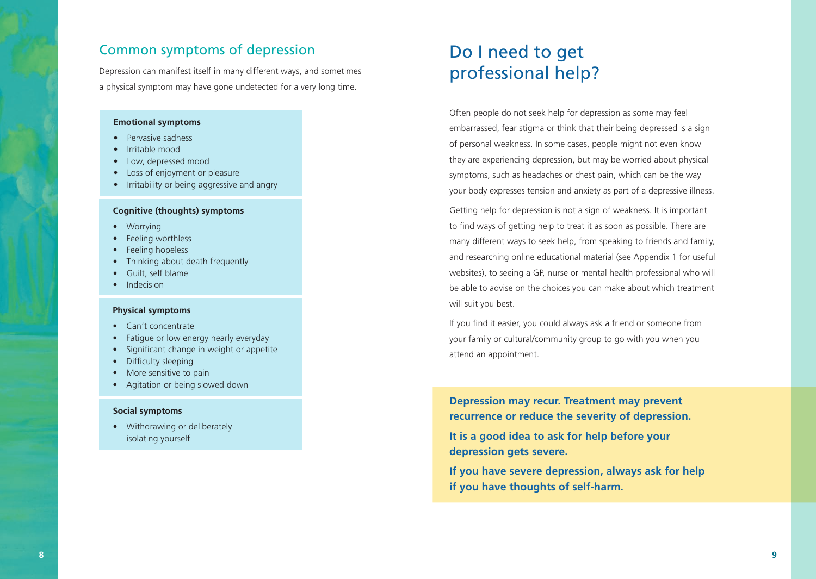#### Common symptoms of depression

Depression can manifest itself in many different ways, and sometimes a physical symptom may have gone undetected for a very long time.

#### **Emotional symptoms**

- Pervasive sadness
- Irritable mood
- Low, depressed mood
- Loss of enjoyment or pleasure
- Irritability or being aggressive and angry

#### **Cognitive (thoughts) symptoms**

- Worrying
- Feeling worthless
- Feeling hopeless
- Thinking about death frequently
- Guilt, self blame
- Indecision

#### **Physical symptoms**

- Can't concentrate
- Fatigue or low energy nearly everyday
- Significant change in weight or appetite
- Difficulty sleeping
- More sensitive to pain
- Agitation or being slowed down

#### **Social symptoms**

• Withdrawing or deliberately isolating yourself

# Do I need to get professional help?

Often people do not seek help for depression as some may feel embarrassed, fear stigma or think that their being depressed is a sign of personal weakness. In some cases, people might not even know they are experiencing depression, but may be worried about physical symptoms, such as headaches or chest pain, which can be the way your body expresses tension and anxiety as part of a depressive illness.

Getting help for depression is not a sign of weakness. It is important to find ways of getting help to treat it as soon as possible. There are many different ways to seek help, from speaking to friends and family, and researching online educational material (see Appendix 1 for useful websites), to seeing a GP, nurse or mental health professional who will be able to advise on the choices you can make about which treatment will suit you best.

If you find it easier, you could always ask a friend or someone from your family or cultural/community group to go with you when you attend an appointment.

**Depression may recur. Treatment may prevent recurrence or reduce the severity of depression.**

**It is a good idea to ask for help before your depression gets severe.**

**If you have severe depression, always ask for help if you have thoughts of self-harm.**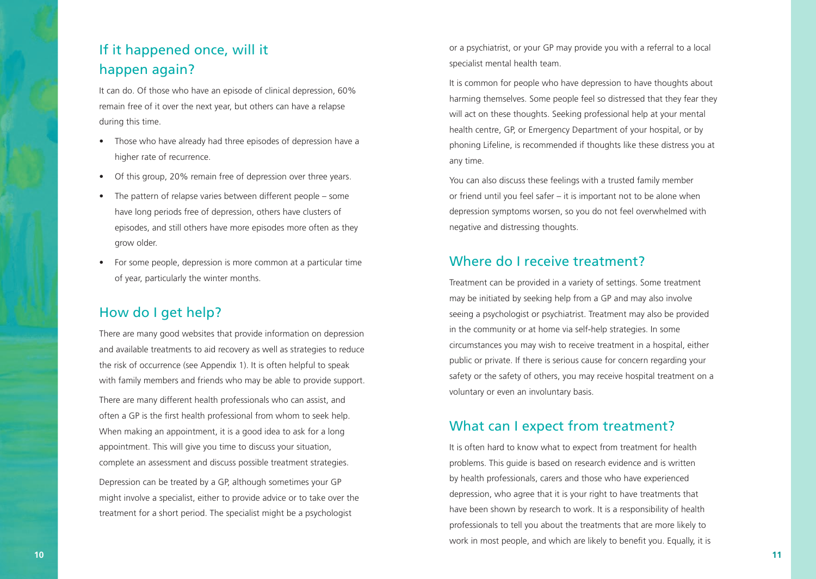## If it happened once, will it happen again?

It can do. Of those who have an episode of clinical depression, 60% remain free of it over the next year, but others can have a relapse during this time.

- Those who have already had three episodes of depression have a higher rate of recurrence.
- Of this group, 20% remain free of depression over three years.
- The pattern of relapse varies between different people some have long periods free of depression, others have clusters of episodes, and still others have more episodes more often as they grow older.
- For some people, depression is more common at a particular time of year, particularly the winter months.

#### How do I get help?

There are many good websites that provide information on depression and available treatments to aid recovery as well as strategies to reduce the risk of occurrence (see Appendix 1). It is often helpful to speak with family members and friends who may be able to provide support.

There are many different health professionals who can assist, and often a GP is the first health professional from whom to seek help. When making an appointment, it is a good idea to ask for a long appointment. This will give you time to discuss your situation, complete an assessment and discuss possible treatment strategies.

Depression can be treated by a GP, although sometimes your GP might involve a specialist, either to provide advice or to take over the treatment for a short period. The specialist might be a psychologist

or a psychiatrist, or your GP may provide you with a referral to a local specialist mental health team.

It is common for people who have depression to have thoughts about harming themselves. Some people feel so distressed that they fear they will act on these thoughts. Seeking professional help at your mental health centre, GP, or Emergency Department of your hospital, or by phoning Lifeline, is recommended if thoughts like these distress you at any time.

You can also discuss these feelings with a trusted family member or friend until you feel safer – it is important not to be alone when depression symptoms worsen, so you do not feel overwhelmed with negative and distressing thoughts.

#### Where do I receive treatment?

Treatment can be provided in a variety of settings. Some treatment may be initiated by seeking help from a GP and may also involve seeing a psychologist or psychiatrist. Treatment may also be provided in the community or at home via self-help strategies. In some circumstances you may wish to receive treatment in a hospital, either public or private. If there is serious cause for concern regarding your safety or the safety of others, you may receive hospital treatment on a voluntary or even an involuntary basis.

#### What can I expect from treatment?

It is often hard to know what to expect from treatment for health problems. This guide is based on research evidence and is written by health professionals, carers and those who have experienced depression, who agree that it is your right to have treatments that have been shown by research to work. It is a responsibility of health professionals to tell you about the treatments that are more likely to work in most people, and which are likely to benefit you. Equally, it is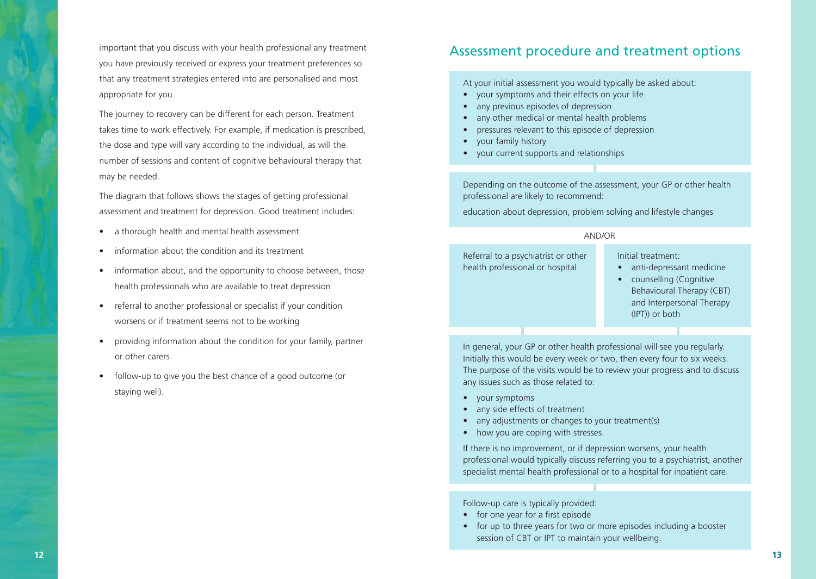important that you discuss with your health professional any treatment **and treatment options** and treatment options you have previously received or express your treatment preferences so that any treatment strategies entered into are personalised and most appropriate for you.

The journey to recovery can be different for each person. Treatment takes time to work effectively. For example, if medication is prescribed, the dose and type will vary according to the individual, as will the number of sessions and content of cognitive behavioural therapy that may be needed.

The diagram that follows shows the stages of getting professional assessment and treatment for depression. Good treatment includes:

- a thorough health and mental health assessment
- information about the condition and its treatment
- information about, and the opportunity to choose between, those health professionals who are available to treat depression
- referral to another professional or specialist if your condition worsens or if treatment seems not to be working
- providing information about the condition for your family, partner or other carers
- follow-up to give you the best chance of a good outcome (or staying well).

At your initial assessment you would typically be asked about:

- your symptoms and their effects on your life
- any previous episodes of depression
- any other medical or mental health problems
- pressures relevant to this episode of depression
- your family history
- your current supports and relationships

Depending on the outcome of the assessment, your GP or other health professional are likely to recommend:

education about depression, problem solving and lifestyle changes

#### AND/OR

Initial treatment: Referral to a psychiatrist or other health professional or hospital

- anti-depressant medicine
- counselling (Cognitive Behavioural Therapy (CBT) and Interpersonal Therapy (IPT)) or both

In general, your GP or other health professional will see you regularly. Initially this would be every week or two, then every four to six weeks. The purpose of the visits would be to review your progress and to discuss any issues such as those related to:

- your symptoms
- any side effects of treatment
- any adjustments or changes to your treatment(s)
- how you are coping with stresses.

If there is no improvement, or if depression worsens, your health professional would typically discuss referring you to a psychiatrist, another specialist mental health professional or to a hospital for inpatient care.

Follow-up care is typically provided:

- for one year for a first episode
- for up to three years for two or more episodes including a booster session of CBT or IPT to maintain your wellbeing.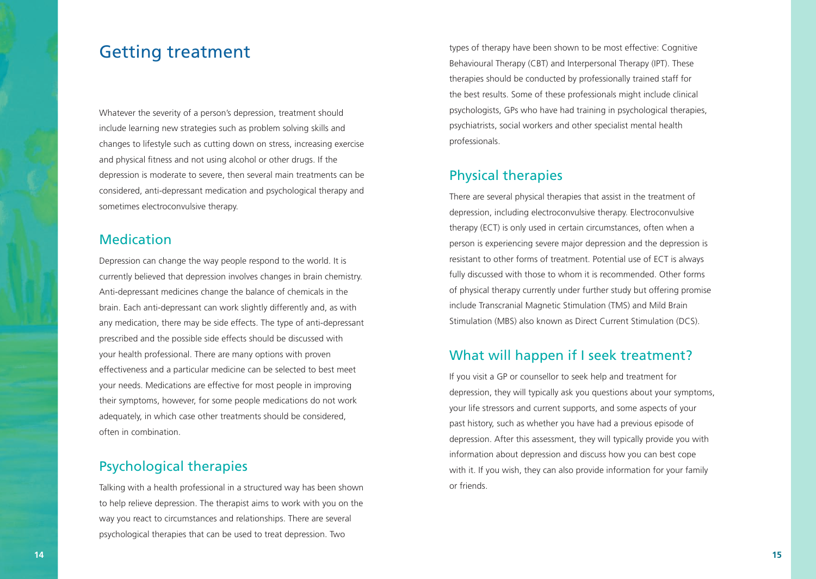## Getting treatment

Whatever the severity of a person's depression, treatment should include learning new strategies such as problem solving skills and changes to lifestyle such as cutting down on stress, increasing exercise and physical fitness and not using alcohol or other drugs. If the depression is moderate to severe, then several main treatments can be considered, anti-depressant medication and psychological therapy and sometimes electroconvulsive therapy.

#### Medication

Depression can change the way people respond to the world. It is currently believed that depression involves changes in brain chemistry. Anti-depressant medicines change the balance of chemicals in the brain. Each anti-depressant can work slightly differently and, as with any medication, there may be side effects. The type of anti-depressant prescribed and the possible side effects should be discussed with your health professional. There are many options with proven effectiveness and a particular medicine can be selected to best meet your needs. Medications are effective for most people in improving their symptoms, however, for some people medications do not work adequately, in which case other treatments should be considered, often in combination.

### Psychological therapies

Talking with a health professional in a structured way has been shown to help relieve depression. The therapist aims to work with you on the way you react to circumstances and relationships. There are several psychological therapies that can be used to treat depression. Two

types of therapy have been shown to be most effective: Cognitive Behavioural Therapy (CBT) and Interpersonal Therapy (IPT). These therapies should be conducted by professionally trained staff for the best results. Some of these professionals might include clinical psychologists, GPs who have had training in psychological therapies, psychiatrists, social workers and other specialist mental health professionals.

#### Physical therapies

There are several physical therapies that assist in the treatment of depression, including electroconvulsive therapy. Electroconvulsive therapy (ECT) is only used in certain circumstances, often when a person is experiencing severe major depression and the depression is resistant to other forms of treatment. Potential use of ECT is always fully discussed with those to whom it is recommended. Other forms of physical therapy currently under further study but offering promise include Transcranial Magnetic Stimulation (TMS) and Mild Brain Stimulation (MBS) also known as Direct Current Stimulation (DCS).

#### What will happen if I seek treatment?

If you visit a GP or counsellor to seek help and treatment for depression, they will typically ask you questions about your symptoms, your life stressors and current supports, and some aspects of your past history, such as whether you have had a previous episode of depression. After this assessment, they will typically provide you with information about depression and discuss how you can best cope with it. If you wish, they can also provide information for your family or friends.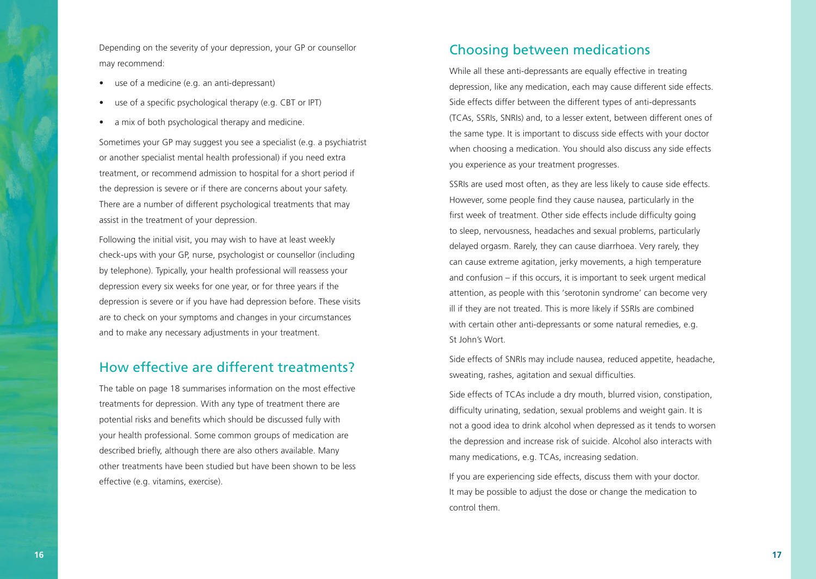Depending on the severity of your depression, your GP or counsellor may recommend:

- use of a medicine (e.g. an anti-depressant)
- use of a specific psychological therapy (e.g. CBT or IPT)
- a mix of both psychological therapy and medicine.

Sometimes your GP may suggest you see a specialist (e.g. a psychiatrist or another specialist mental health professional) if you need extra treatment, or recommend admission to hospital for a short period if the depression is severe or if there are concerns about your safety. There are a number of different psychological treatments that may assist in the treatment of your depression.

Following the initial visit, you may wish to have at least weekly check-ups with your GP, nurse, psychologist or counsellor (including by telephone). Typically, your health professional will reassess your depression every six weeks for one year, or for three years if the depression is severe or if you have had depression before. These visits are to check on your symptoms and changes in your circumstances and to make any necessary adjustments in your treatment.

#### How effective are different treatments?

The table on page 18 summarises information on the most effective treatments for depression. With any type of treatment there are potential risks and benefits which should be discussed fully with your health professional. Some common groups of medication are described briefly, although there are also others available. Many other treatments have been studied but have been shown to be less effective (e.g. vitamins, exercise).

#### Choosing between medications

While all these anti-depressants are equally effective in treating depression, like any medication, each may cause different side effects. Side effects differ between the different types of anti-depressants (TCAs, SSRIs, SNRIs) and, to a lesser extent, between different ones of the same type. It is important to discuss side effects with your doctor when choosing a medication. You should also discuss any side effects you experience as your treatment progresses.

SSRIs are used most often, as they are less likely to cause side effects. However, some people find they cause nausea, particularly in the first week of treatment. Other side effects include difficulty going to sleep, nervousness, headaches and sexual problems, particularly delayed orgasm. Rarely, they can cause diarrhoea. Very rarely, they can cause extreme agitation, jerky movements, a high temperature and confusion – if this occurs, it is important to seek urgent medical attention, as people with this 'serotonin syndrome' can become very ill if they are not treated. This is more likely if SSRIs are combined with certain other anti-depressants or some natural remedies, e.g. St John's Wort.

Side effects of SNRIs may include nausea, reduced appetite, headache, sweating, rashes, agitation and sexual difficulties.

Side effects of TCAs include a dry mouth, blurred vision, constipation, difficulty urinating, sedation, sexual problems and weight gain. It is not a good idea to drink alcohol when depressed as it tends to worsen the depression and increase risk of suicide. Alcohol also interacts with many medications, e.g. TCAs, increasing sedation.

If you are experiencing side effects, discuss them with your doctor. It may be possible to adjust the dose or change the medication to control them.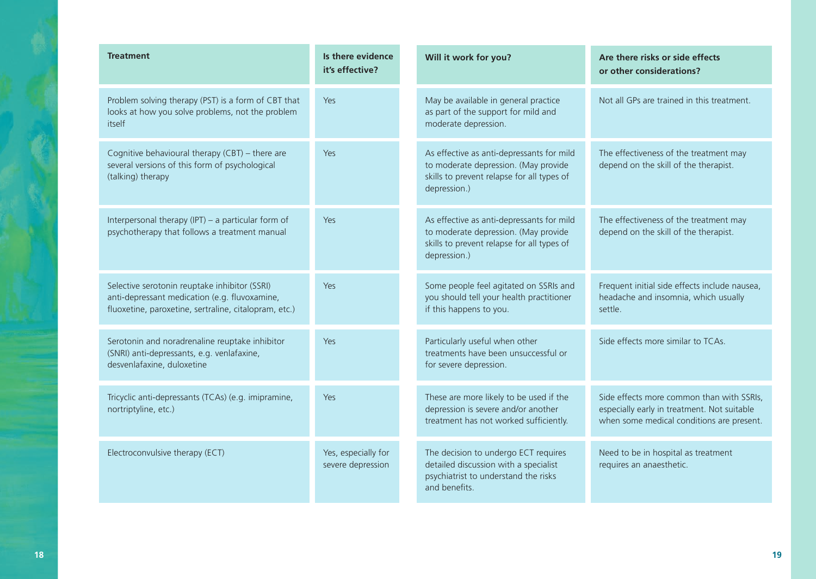| <b>Treatment</b>                                                                                                                                        | Is there evidence<br>it's effective?     | Will it work for you?                                                                                                                           | Are there risks or side effects<br>or other considerations?                                                                           |
|---------------------------------------------------------------------------------------------------------------------------------------------------------|------------------------------------------|-------------------------------------------------------------------------------------------------------------------------------------------------|---------------------------------------------------------------------------------------------------------------------------------------|
| Problem solving therapy (PST) is a form of CBT that<br>looks at how you solve problems, not the problem<br>itself                                       | Yes                                      | May be available in general practice<br>as part of the support for mild and<br>moderate depression.                                             | Not all GPs are trained in this treatment.                                                                                            |
| Cognitive behavioural therapy (CBT) - there are<br>several versions of this form of psychological<br>(talking) therapy                                  | Yes                                      | As effective as anti-depressants for mild<br>to moderate depression. (May provide<br>skills to prevent relapse for all types of<br>depression.) | The effectiveness of the treatment may<br>depend on the skill of the therapist.                                                       |
| Interpersonal therapy (IPT) - a particular form of<br>psychotherapy that follows a treatment manual                                                     | Yes                                      | As effective as anti-depressants for mild<br>to moderate depression. (May provide<br>skills to prevent relapse for all types of<br>depression.) | The effectiveness of the treatment may<br>depend on the skill of the therapist.                                                       |
| Selective serotonin reuptake inhibitor (SSRI)<br>anti-depressant medication (e.g. fluvoxamine,<br>fluoxetine, paroxetine, sertraline, citalopram, etc.) | Yes                                      | Some people feel agitated on SSRIs and<br>you should tell your health practitioner<br>if this happens to you.                                   | Frequent initial side effects include nausea,<br>headache and insomnia, which usually<br>settle.                                      |
| Serotonin and noradrenaline reuptake inhibitor<br>(SNRI) anti-depressants, e.g. venlafaxine,<br>desvenlafaxine, duloxetine                              | Yes                                      | Particularly useful when other<br>treatments have been unsuccessful or<br>for severe depression.                                                | Side effects more similar to TCAs.                                                                                                    |
| Tricyclic anti-depressants (TCAs) (e.g. imipramine,<br>nortriptyline, etc.)                                                                             | Yes                                      | These are more likely to be used if the<br>depression is severe and/or another<br>treatment has not worked sufficiently.                        | Side effects more common than with SSRIs,<br>especially early in treatment. Not suitable<br>when some medical conditions are present. |
| Electroconvulsive therapy (ECT)                                                                                                                         | Yes, especially for<br>severe depression | The decision to undergo ECT requires<br>detailed discussion with a specialist<br>psychiatrist to understand the risks<br>and benefits.          | Need to be in hospital as treatment<br>requires an anaesthetic.                                                                       |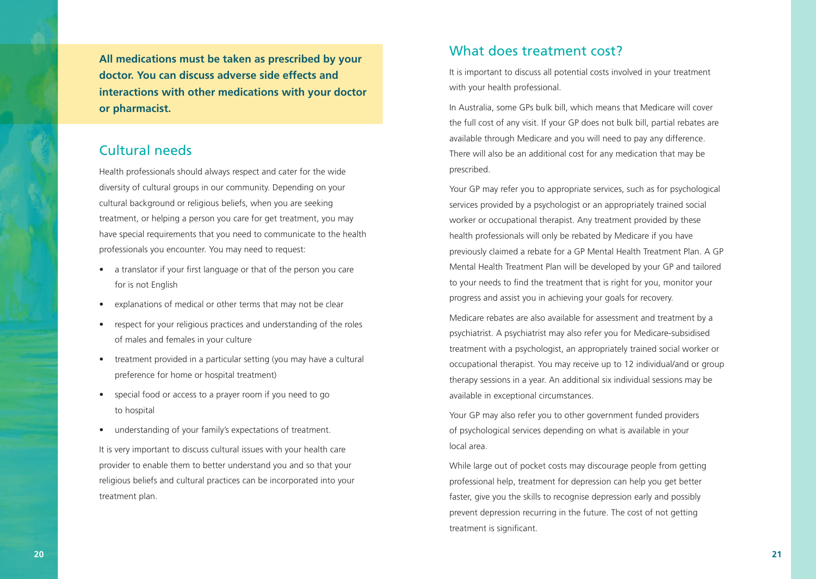**All medications must be taken as prescribed by your doctor. You can discuss adverse side effects and interactions with other medications with your doctor or pharmacist.**

#### Cultural needs

Health professionals should always respect and cater for the wide diversity of cultural groups in our community. Depending on your cultural background or religious beliefs, when you are seeking treatment, or helping a person you care for get treatment, you may have special requirements that you need to communicate to the health professionals you encounter. You may need to request:

- a translator if your first language or that of the person you care for is not English
- explanations of medical or other terms that may not be clear
- respect for your religious practices and understanding of the roles of males and females in your culture
- treatment provided in a particular setting (you may have a cultural preference for home or hospital treatment)
- special food or access to a prayer room if you need to go to hospital
- understanding of your family's expectations of treatment.

It is very important to discuss cultural issues with your health care provider to enable them to better understand you and so that your religious beliefs and cultural practices can be incorporated into your treatment plan.

#### What does treatment cost?

It is important to discuss all potential costs involved in your treatment with your health professional.

In Australia, some GPs bulk bill, which means that Medicare will cover the full cost of any visit. If your GP does not bulk bill, partial rebates are available through Medicare and you will need to pay any difference. There will also be an additional cost for any medication that may be prescribed.

Your GP may refer you to appropriate services, such as for psychological services provided by a psychologist or an appropriately trained social worker or occupational therapist. Any treatment provided by these health professionals will only be rebated by Medicare if you have previously claimed a rebate for a GP Mental Health Treatment Plan. A GP Mental Health Treatment Plan will be developed by your GP and tailored to your needs to find the treatment that is right for you, monitor your progress and assist you in achieving your goals for recovery.

Medicare rebates are also available for assessment and treatment by a psychiatrist. A psychiatrist may also refer you for Medicare-subsidised treatment with a psychologist, an appropriately trained social worker or occupational therapist. You may receive up to 12 individual/and or group therapy sessions in a year. An additional six individual sessions may be available in exceptional circumstances.

Your GP may also refer you to other government funded providers of psychological services depending on what is available in your local area.

While large out of pocket costs may discourage people from getting professional help, treatment for depression can help you get better faster, give you the skills to recognise depression early and possibly prevent depression recurring in the future. The cost of not getting treatment is significant.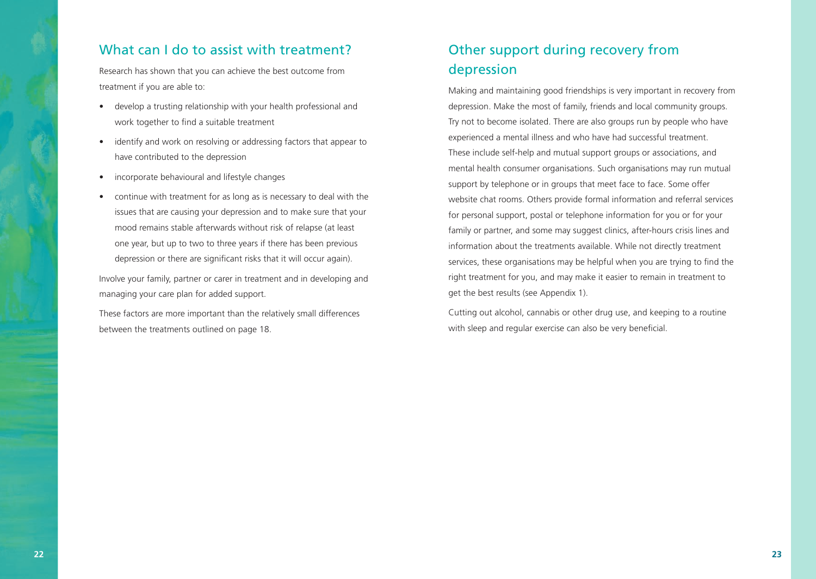#### What can I do to assist with treatment?

Research has shown that you can achieve the best outcome from treatment if you are able to:

- develop a trusting relationship with your health professional and work together to find a suitable treatment
- identify and work on resolving or addressing factors that appear to have contributed to the depression
- incorporate behavioural and lifestyle changes
- continue with treatment for as long as is necessary to deal with the issues that are causing your depression and to make sure that your mood remains stable afterwards without risk of relapse (at least one year, but up to two to three years if there has been previous depression or there are significant risks that it will occur again).

Involve your family, partner or carer in treatment and in developing and managing your care plan for added support.

These factors are more important than the relatively small differences between the treatments outlined on page 18.

## Other support during recovery from depression

Making and maintaining good friendships is very important in recovery from depression. Make the most of family, friends and local community groups. Try not to become isolated. There are also groups run by people who have experienced a mental illness and who have had successful treatment. These include self-help and mutual support groups or associations, and mental health consumer organisations. Such organisations may run mutual support by telephone or in groups that meet face to face. Some offer website chat rooms. Others provide formal information and referral services for personal support, postal or telephone information for you or for your family or partner, and some may suggest clinics, after-hours crisis lines and information about the treatments available. While not directly treatment services, these organisations may be helpful when you are trying to find the right treatment for you, and may make it easier to remain in treatment to get the best results (see Appendix 1).

Cutting out alcohol, cannabis or other drug use, and keeping to a routine with sleep and regular exercise can also be very beneficial.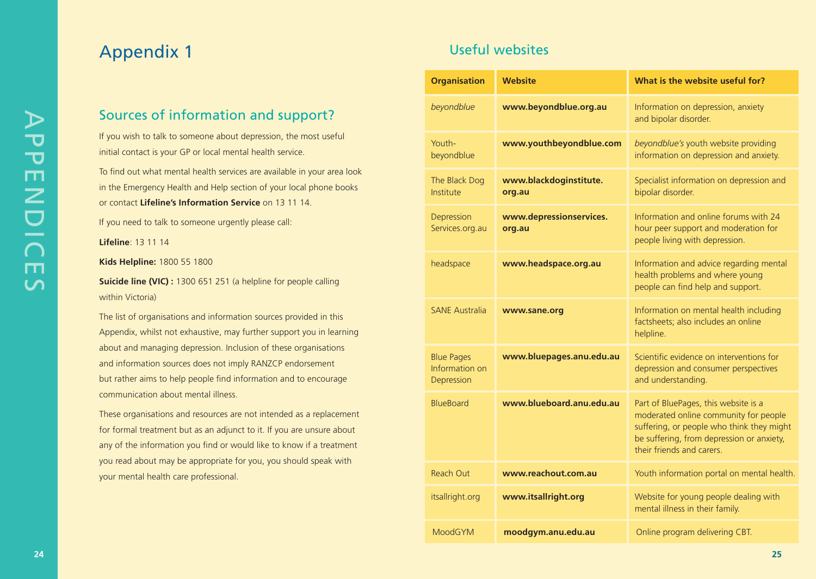# Appendix 1

### Sources of information and support?

If you wish to talk to someone about depression, the most useful initial contact is your GP or local mental health service.

To find out what mental health services are available in your area look in the Emergency Health and Help section of your local phone books or contact **Lifeline's Information Service** on 13 11 14.

If you need to talk to someone urgently please call:

**Lifeline**: 13 11 14

**Kids Helpline:** 1800 55 1800

**Suicide line (VIC) :** 1300 651 251 (a helpline for people calling within Victoria)

The list of organisations and information sources provided in this Appendix, whilst not exhaustive, may further support you in learning about and managing depression. Inclusion of these organisations and information sources does not imply RANZCP endorsement but rather aims to help people find information and to encourage communication about mental illness.

These organisations and resources are not intended as a replacement for formal treatment but as an adjunct to it. If you are unsure about any of the information you find or would like to know if a treatment you read about may be appropriate for you, you should speak with your mental health care professional.

## Useful websites

| <b>Organisation</b>                               | <b>Website</b>                    | What is the website useful for?                                                                                                                                                                      |  |
|---------------------------------------------------|-----------------------------------|------------------------------------------------------------------------------------------------------------------------------------------------------------------------------------------------------|--|
| beyondblue                                        | www.beyondblue.org.au             | Information on depression, anxiety<br>and bipolar disorder.                                                                                                                                          |  |
| Youth-<br>beyondblue                              | www.youthbeyondblue.com           | beyondblue's youth website providing<br>information on depression and anxiety.                                                                                                                       |  |
| The Black Dog<br>Institute                        | www.blackdoginstitute.<br>org.au  | Specialist information on depression and<br>bipolar disorder.                                                                                                                                        |  |
| Depression<br>Services.org.au                     | www.depressionservices.<br>org.au | Information and online forums with 24<br>hour peer support and moderation for<br>people living with depression.                                                                                      |  |
| headspace                                         | www.headspace.org.au              | Information and advice regarding mental<br>health problems and where young<br>people can find help and support.                                                                                      |  |
| <b>SANE Australia</b>                             | www.sane.org                      | Information on mental health including<br>factsheets; also includes an online<br>helpline.                                                                                                           |  |
| <b>Blue Pages</b><br>Information on<br>Depression | www.bluepages.anu.edu.au          | Scientific evidence on interventions for<br>depression and consumer perspectives<br>and understanding.                                                                                               |  |
| <b>BlueBoard</b>                                  | www.blueboard.anu.edu.au          | Part of BluePages, this website is a<br>moderated online community for people<br>suffering, or people who think they might<br>be suffering, from depression or anxiety,<br>their friends and carers. |  |
| Reach Out                                         | www.reachout.com.au               | Youth information portal on mental health.                                                                                                                                                           |  |
| itsallright.org                                   | www.itsallright.org               | Website for young people dealing with<br>mental illness in their family.                                                                                                                             |  |
| <b>MoodGYM</b>                                    | moodgym.anu.edu.au                | Online program delivering CBT.                                                                                                                                                                       |  |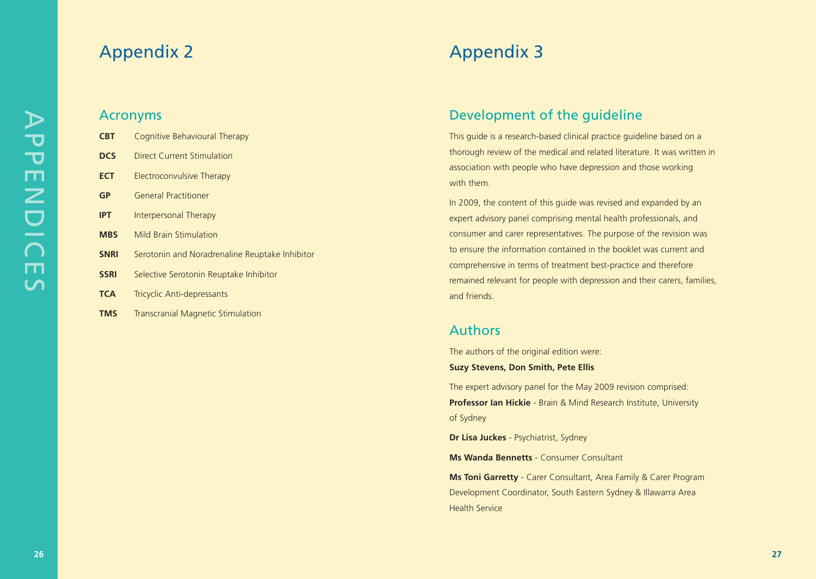## Appendix 2

#### Acronyms

| <b>CBT</b>  | Cognitive Behavioural Therapy                  |
|-------------|------------------------------------------------|
| <b>DCS</b>  | Direct Current Stimulation                     |
| <b>ECT</b>  | Electroconvulsive Therapy                      |
| GP          | General Practitioner                           |
| <b>IPT</b>  | Interpersonal Therapy                          |
| <b>MBS</b>  | <b>Mild Brain Stimulation</b>                  |
| <b>SNRI</b> | Serotonin and Noradrenaline Reuptake Inhibitor |
| <b>SSRI</b> | Selective Serotonin Reuptake Inhibitor         |
| <b>TCA</b>  | Tricyclic Anti-depressants                     |
| <b>TMS</b>  | <b>Transcranial Magnetic Stimulation</b>       |

# Appendix 3

## Development of the guideline

This guide is a research-based clinical practice guideline based on a thorough review of the medical and related literature. It was written in association with people who have depression and those working with them.

In 2009, the content of this guide was revised and expanded by an expert advisory panel comprising mental health professionals, and consumer and carer representatives. The purpose of the revision was to ensure the information contained in the booklet was current and comprehensive in terms of treatment best-practice and therefore remained relevant for people with depression and their carers, families, and friends.

#### Authors

The authors of the original edition were:

**Suzy Stevens, Don Smith, Pete Ellis**

The expert advisory panel for the May 2009 revision comprised: **Professor Ian Hickie** - Brain & Mind Research Institute, University of Sydney

**Dr Lisa Juckes** - Psychiatrist, Sydney

**Ms Wanda Bennetts** - Consumer Consultant

**Ms Toni Garretty** - Carer Consultant, Area Family & Carer Program Development Coordinator, South Eastern Sydney & Illawarra Area Health Service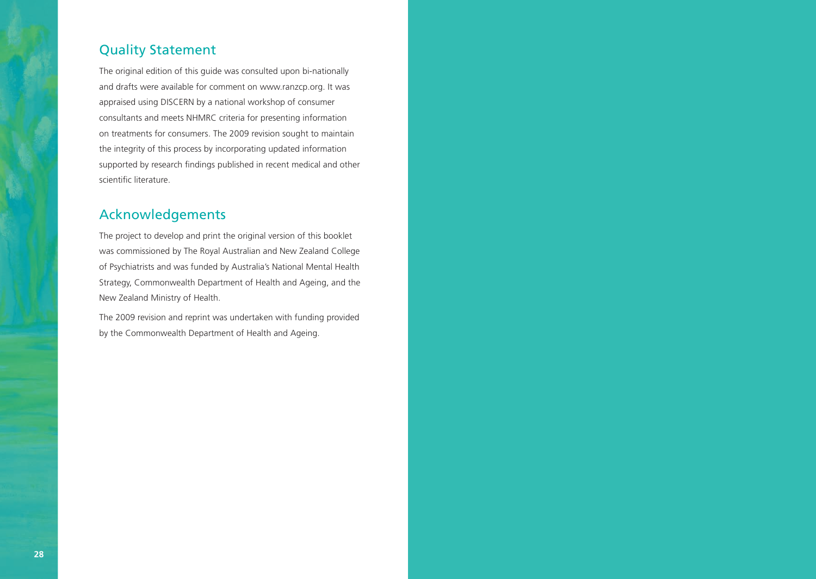### Quality Statement

The original edition of this guide was consulted upon bi-nationally and drafts were available for comment on www.ranzcp.org. It was appraised using DISCERN by a national workshop of consumer consultants and meets NHMRC criteria for presenting information on treatments for consumers. The 2009 revision sought to maintain the integrity of this process by incorporating updated information supported by research findings published in recent medical and other scientific literature.

## Acknowledgements

The project to develop and print the original version of this booklet was commissioned by The Royal Australian and New Zealand College of Psychiatrists and was funded by Australia's National Mental Health Strategy, Commonwealth Department of Health and Ageing, and the New Zealand Ministry of Health.

The 2009 revision and reprint was undertaken with funding provided by the Commonwealth Department of Health and Ageing.